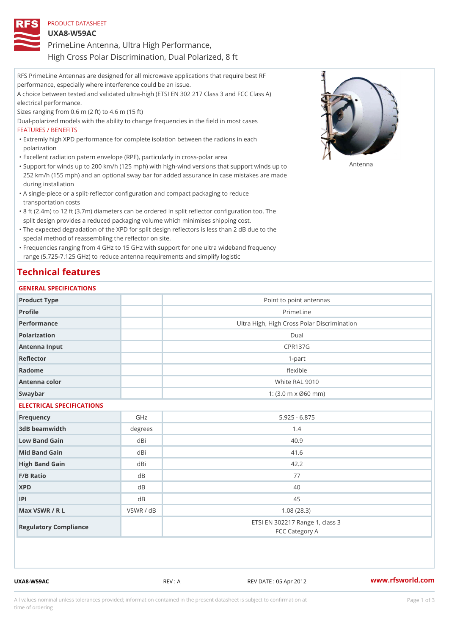| PRODUCT DATASHEET                                     |  |
|-------------------------------------------------------|--|
| $UXA8-W59AC$                                          |  |
| PrimeLine Antenna, Ultra High Performance,            |  |
| High Cross Polar Discrimination, Dual Polarized, 8 ft |  |

RFS PrimeLine Antennas are designed for all microwave applications that require best RF performance, especially where interference could be an issue. A choice between tested and validated ultra-high (ETSI EN 302 217 Class 3 and FCC Class A) electrical performance. Sizes ranging from 0.6 m (2 ft) to 4.6 m (15 ft) Dual-polarized models with the ability to change frequencies in the field in most cases FEATURES / BENEFITS Extremly high XPD performance for complete isolation between the radions in each " polarization "Excellent radiation patern envelope (RPE), particularly in cross-polar area

- "Support for winds up to 200 km/h (125 mph) with high-wind versions that support for wands up to 252 km/h (155 mph) and an optional sway bar for added assurance in case mistakes are made during installation
- A single-piece or a split-reflector configuration and compact packaging to reduce " transportation costs
- 8 ft (2.4m) to 12 ft (3.7m) diameters can be ordered in split reflector configuration too. The " split design provides a reduced packaging volume which minimises shipping cost.
- "The expected degradation of the XPD for split design reflectors is less than 2 dB due to the special method of reassembling the reflector on site.

Frequencies ranging from 4 GHz to 15 GHz with support for one ultra wideband frequency " range (5.725-7.125 GHz) to reduce antenna requirements and simplify logistic

## Technical features

#### GENERAL SPECIFICATIONS

| Product Type              |           | Point to point antennas                                 |
|---------------------------|-----------|---------------------------------------------------------|
| Profile                   |           | PrimeLine                                               |
| Performance               |           | Ultra High, High Cross Polar Discrimination             |
| Polarization              |           | $D$ ual                                                 |
| Antenna Input             |           | <b>CPR137G</b>                                          |
| Reflector                 |           | $1-part$                                                |
| Radome                    |           | flexible                                                |
| Antenna color             |           | White RAL 9010                                          |
| Swaybar                   |           | 1: $(3.0 \, \text{m} \times \emptyset 60 \, \text{mm})$ |
| ELECTRICAL SPECIFICATIONS |           |                                                         |
| Frequency                 | GHz       | $5.925 - 6.875$                                         |
| 3dB beamwidth             | degrees   | 1.4                                                     |
| Low Band Gain             | dBi       | 40.9                                                    |
| Mid Band Gain             | dBi       | 41.6                                                    |
| High Band Gain            | dBi       | 42.2                                                    |
| $F/B$ Ratio               | d B       | 77                                                      |
| <b>XPD</b>                | d B       | 40                                                      |
| P                         | d B       | 45                                                      |
| Max VSWR / R L            | VSWR / dB | 1.08(28.3)                                              |
| Regulatory Compliance     |           | ETSI EN 302217 Range 1, class 3<br>FCC Category A       |

UXA8-W59AC REV : A REV DATE : 05 Apr 2012 [www.](https://www.rfsworld.com)rfsworld.com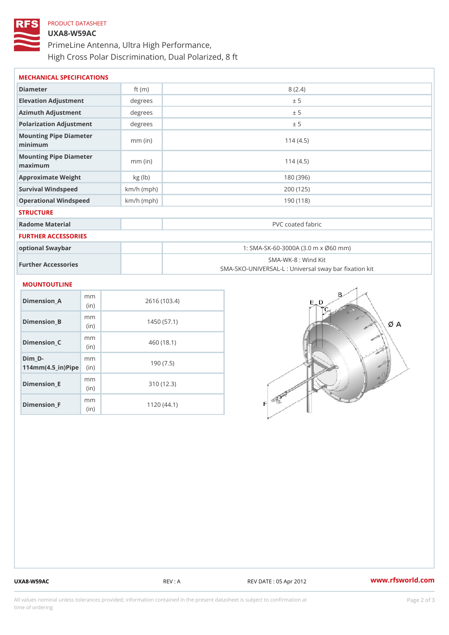# PRODUCT DATASHEET UXA8-W59AC PrimeLine Antenna, Ultra High Performance, High Cross Polar Discrimination, Dual Polarized, 8 ft

| MECHANICAL SPECIFICATIONS                     |              |                                                                          |  |
|-----------------------------------------------|--------------|--------------------------------------------------------------------------|--|
| Diameter                                      | ft $(m)$     | 8(2.4)                                                                   |  |
| Elevation Adjustment                          | degree:      | ± 5                                                                      |  |
| Azimuth Adjustment                            | degrees      | ± 5                                                                      |  |
| Polarization Adjustment                       | degrees      | ± 5                                                                      |  |
| Mounting Pipe Diameter<br>minimum             | $mm$ (in)    | 114(4.5)                                                                 |  |
| Mounting Pipe Diameter<br>$m$ a x i $m$ u $m$ | $mm$ (in)    | 114(4.5)                                                                 |  |
| Approximate Weight                            | kg(lb)       | 180 (396)                                                                |  |
| Survival Windspeed                            | $km/h$ (mph) | 200 (125)                                                                |  |
| Operational Windspeed                         | $km/h$ (mph) | 190(118)                                                                 |  |
| <b>STRUCTURE</b>                              |              |                                                                          |  |
| Radome Material                               |              | PVC coated fabric                                                        |  |
| FURTHER ACCESSORIES                           |              |                                                                          |  |
| optional Swaybar                              |              | 1: SMA-SK-60-3000A (3.0 m x Ø60 mm)                                      |  |
| Further Accessories                           |              | SMA-WK-8 : Wind Kit<br>SMA-SKO-UNIVERSAL-L : Universal sway bar fixation |  |
| <b>MOUNTOUTLINE</b>                           |              |                                                                          |  |
| m m<br>$Dimension_A$<br>(in)                  |              | 2616 (103.4)                                                             |  |
| m m<br>Dimension_B<br>(in)                    |              | 1450(57.1)                                                               |  |
| m m<br>$Dimension_C$                          |              | 460 (18.1)                                                               |  |

| $Dimenision_C$                                                        | m m<br>(i <sub>n</sub> ) | 460 (18.1) |
|-----------------------------------------------------------------------|--------------------------|------------|
| Dim D-<br>$114$ m m $(4.5$ $-$ i r $)$ $\mathbb{R}$ ii p $\mathbb{R}$ | m m                      | 190(7.5)   |
| $Dimension$ = E                                                       | m m<br>(i <sub>n</sub> ) | 310(12.3)  |
| $Dimension_F$                                                         | m m<br>(in               | 1120(44.1) |

UXA8-W59AC REV : A REV DATE : 05 Apr 2012 [www.](https://www.rfsworld.com)rfsworld.com